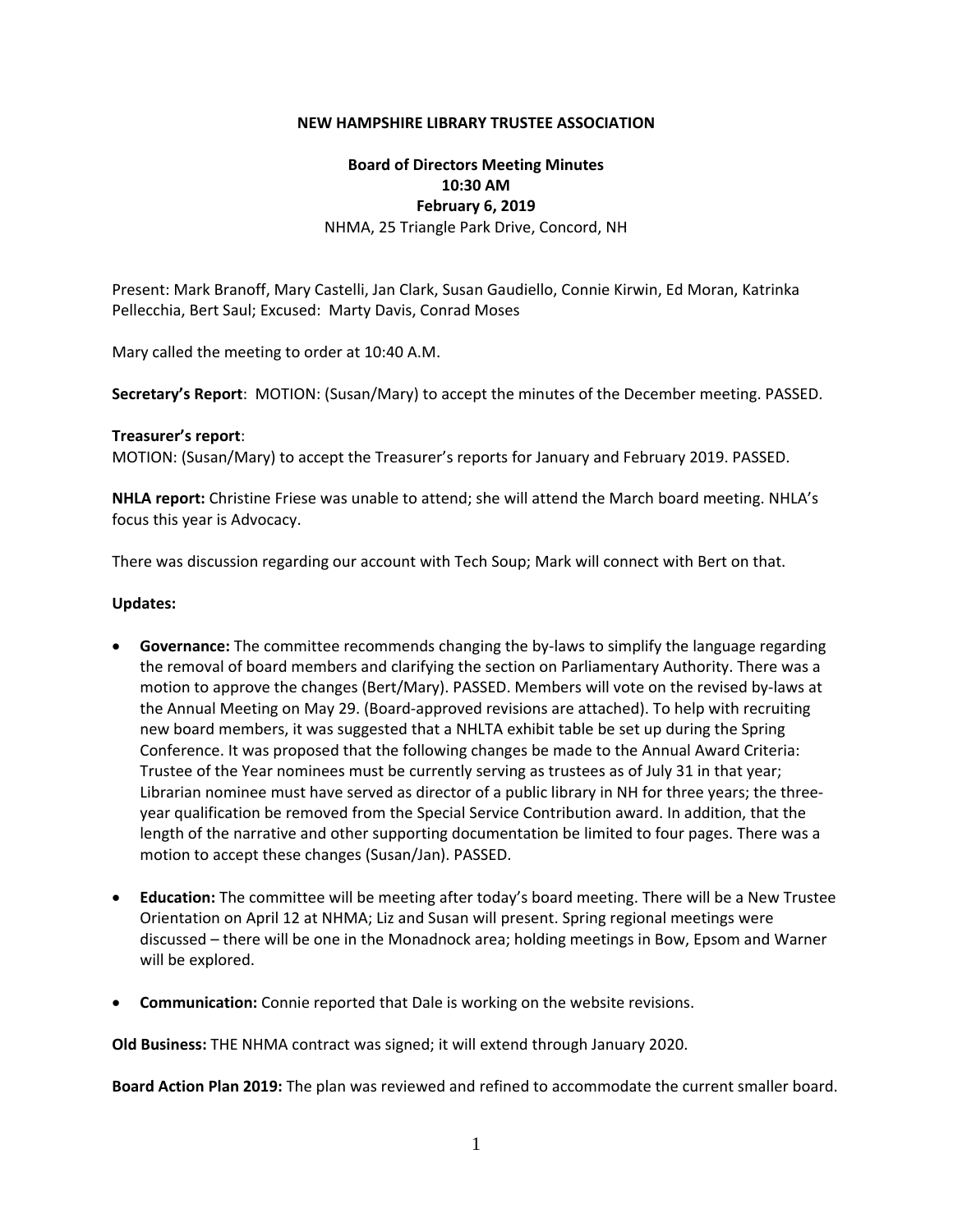### **NEW HAMPSHIRE LIBRARY TRUSTEE ASSOCIATION**

# **Board of Directors Meeting Minutes 10:30 AM February 6, 2019** NHMA, 25 Triangle Park Drive, Concord, NH

Present: Mark Branoff, Mary Castelli, Jan Clark, Susan Gaudiello, Connie Kirwin, Ed Moran, Katrinka Pellecchia, Bert Saul; Excused: Marty Davis, Conrad Moses

Mary called the meeting to order at 10:40 A.M.

**Secretary's Report**: MOTION: (Susan/Mary) to accept the minutes of the December meeting. PASSED.

### **Treasurer's report**:

MOTION: (Susan/Mary) to accept the Treasurer's reports for January and February 2019. PASSED.

**NHLA report:** Christine Friese was unable to attend; she will attend the March board meeting. NHLA's focus this year is Advocacy.

There was discussion regarding our account with Tech Soup; Mark will connect with Bert on that.

### **Updates:**

- **Governance:** The committee recommends changing the by-laws to simplify the language regarding the removal of board members and clarifying the section on Parliamentary Authority. There was a motion to approve the changes (Bert/Mary). PASSED. Members will vote on the revised by‐laws at the Annual Meeting on May 29. (Board‐approved revisions are attached). To help with recruiting new board members, it was suggested that a NHLTA exhibit table be set up during the Spring Conference. It was proposed that the following changes be made to the Annual Award Criteria: Trustee of the Year nominees must be currently serving as trustees as of July 31 in that year; Librarian nominee must have served as director of a public library in NH for three years; the three‐ year qualification be removed from the Special Service Contribution award. In addition, that the length of the narrative and other supporting documentation be limited to four pages. There was a motion to accept these changes (Susan/Jan). PASSED.
- **Education:** The committee will be meeting after today's board meeting. There will be a New Trustee Orientation on April 12 at NHMA; Liz and Susan will present. Spring regional meetings were discussed – there will be one in the Monadnock area; holding meetings in Bow, Epsom and Warner will be explored.
- **Communication:** Connie reported that Dale is working on the website revisions.

**Old Business:** THE NHMA contract was signed; it will extend through January 2020.

**Board Action Plan 2019:** The plan was reviewed and refined to accommodate the current smaller board.